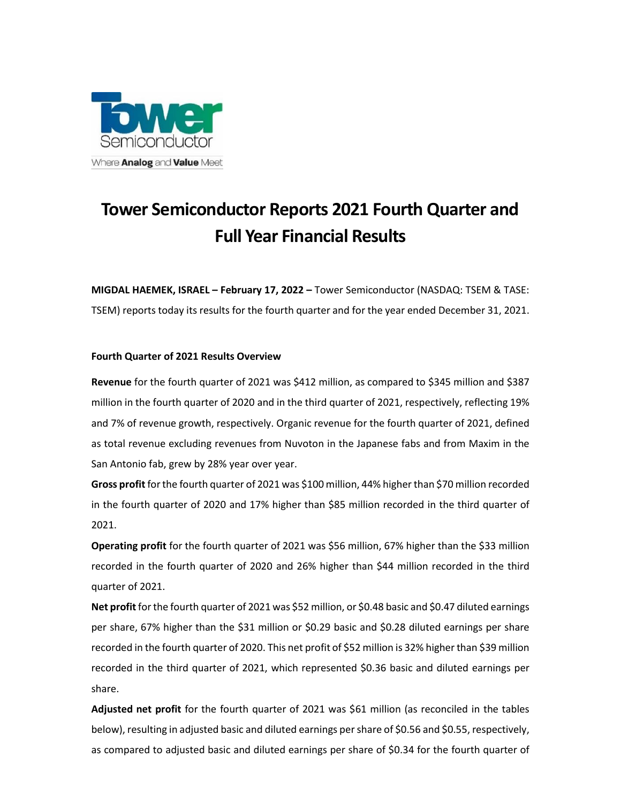

# **Tower Semiconductor Reports 2021 Fourth Quarter and Full Year Financial Results**

**MIGDAL HAEMEK, ISRAEL – February 17, 2022 –** Tower Semiconductor (NASDAQ: TSEM & TASE: TSEM) reports today its results for the fourth quarter and for the year ended December 31, 2021.

# **Fourth Quarter of 2021 Results Overview**

**Revenue** for the fourth quarter of 2021 was \$412 million, as compared to \$345 million and \$387 million in the fourth quarter of 2020 and in the third quarter of 2021, respectively, reflecting 19% and 7% of revenue growth, respectively. Organic revenue for the fourth quarter of 2021, defined as total revenue excluding revenues from Nuvoton in the Japanese fabs and from Maxim in the San Antonio fab, grew by 28% year over year.

**Gross profit** for the fourth quarter of 2021 was \$100 million, 44% higher than \$70 million recorded in the fourth quarter of 2020 and 17% higher than \$85 million recorded in the third quarter of 2021.

**Operating profit** for the fourth quarter of 2021 was \$56 million, 67% higher than the \$33 million recorded in the fourth quarter of 2020 and 26% higher than \$44 million recorded in the third quarter of 2021.

**Net profit** for the fourth quarter of 2021 was \$52 million, or \$0.48 basic and \$0.47 diluted earnings per share, 67% higher than the \$31 million or \$0.29 basic and \$0.28 diluted earnings per share recorded in the fourth quarter of 2020. This net profit of \$52 million is 32% higher than \$39 million recorded in the third quarter of 2021, which represented \$0.36 basic and diluted earnings per share.

**Adjusted net profit** for the fourth quarter of 2021 was \$61 million (as reconciled in the tables below), resulting in adjusted basic and diluted earnings per share of \$0.56 and \$0.55, respectively, as compared to adjusted basic and diluted earnings per share of \$0.34 for the fourth quarter of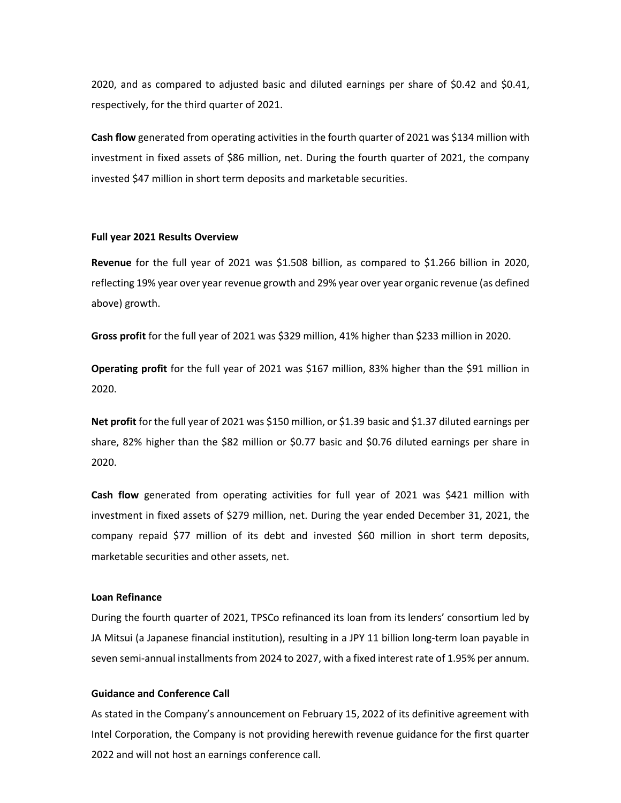2020, and as compared to adjusted basic and diluted earnings per share of \$0.42 and \$0.41, respectively, for the third quarter of 2021.

**Cash flow** generated from operating activities in the fourth quarter of 2021 was \$134 million with investment in fixed assets of \$86 million, net. During the fourth quarter of 2021, the company invested \$47 million in short term deposits and marketable securities.

## **Full year 2021 Results Overview**

**Revenue** for the full year of 2021 was \$1.508 billion, as compared to \$1.266 billion in 2020, reflecting 19% year over year revenue growth and 29% year over year organic revenue (as defined above) growth.

**Gross profit** for the full year of 2021 was \$329 million, 41% higher than \$233 million in 2020.

**Operating profit** for the full year of 2021 was \$167 million, 83% higher than the \$91 million in 2020.

**Net profit** for the full year of 2021 was \$150 million, or \$1.39 basic and \$1.37 diluted earnings per share, 82% higher than the \$82 million or \$0.77 basic and \$0.76 diluted earnings per share in 2020.

**Cash flow** generated from operating activities for full year of 2021 was \$421 million with investment in fixed assets of \$279 million, net. During the year ended December 31, 2021, the company repaid \$77 million of its debt and invested \$60 million in short term deposits, marketable securities and other assets, net.

## **Loan Refinance**

During the fourth quarter of 2021, TPSCo refinanced its loan from its lenders' consortium led by JA Mitsui (a Japanese financial institution), resulting in a JPY 11 billion long-term loan payable in seven semi-annual installments from 2024 to 2027, with a fixed interest rate of 1.95% per annum.

## **Guidance and Conference Call**

As stated in the Company's announcement on February 15, 2022 of its definitive agreement with Intel Corporation, the Company is not providing herewith revenue guidance for the first quarter 2022 and will not host an earnings conference call.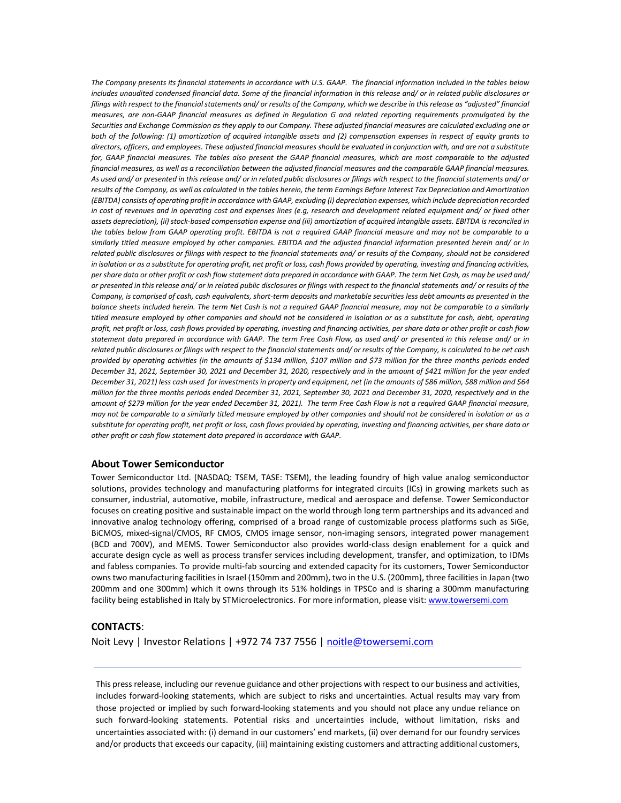*The Company presents its financial statements in accordance with U.S. GAAP. The financial information included in the tables below includes unaudited condensed financial data. Some of the financial information in this release and/ or in related public disclosures or*  filings with respect to the financial statements and/ or results of the Company, which we describe in this release as "adjusted" financial *measures, are non-GAAP financial measures as defined in Regulation G and related reporting requirements promulgated by the Securities and Exchange Commission as they apply to our Company. These adjusted financial measures are calculated excluding one or both of the following: (1) amortization of acquired intangible assets and (2) compensation expenses in respect of equity grants to directors, officers, and employees. These adjusted financial measures should be evaluated in conjunction with, and are not a substitute*  for, GAAP financial measures. The tables also present the GAAP financial measures, which are most comparable to the adjusted *financial measures, as well as a reconciliation between the adjusted financial measures and the comparable GAAP financial measures. As used and/ or presented in this release and/ or in related public disclosures or filings with respect to the financial statements and/ or*  results of the Company, as well as calculated in the tables herein, the term Earnings Before Interest Tax Depreciation and Amortization *(EBITDA) consists of operating profit in accordance with GAAP, excluding (i) depreciation expenses, which include depreciation recorded*  in cost of revenues and in operating cost and expenses lines (e.g, research and development related equipment and/ or fixed other *assets depreciation), (ii) stock-based compensation expense and (iii) amortization of acquired intangible assets. EBITDA is reconciled in the tables below from GAAP operating profit. EBITDA is not a required GAAP financial measure and may not be comparable to a similarly titled measure employed by other companies. EBITDA and the adjusted financial information presented herein and/ or in related public disclosures or filings with respect to the financial statements and/ or results of the Company, should not be considered in isolation or as a substitute for operating profit, net profit or loss, cash flows provided by operating, investing and financing activities, per share data or other profit or cash flow statement data prepared in accordance with GAAP. The term Net Cash, as may be used and/ or presented in this release and/ or in related public disclosures or filings with respect to the financial statements and/ or results of the Company, is comprised of cash, cash equivalents, short-term deposits and marketable securities less debt amounts as presented in the balance sheets included herein. The term Net Cash is not a required GAAP financial measure, may not be comparable to a similarly titled measure employed by other companies and should not be considered in isolation or as a substitute for cash, debt, operating profit, net profit or loss, cash flows provided by operating, investing and financing activities, per share data or other profit or cash flow statement data prepared in accordance with GAAP. The term Free Cash Flow, as used and/ or presented in this release and/ or in related public disclosures or filings with respect to the financial statements and/ or results of the Company, is calculated to be net cash provided by operating activities (in the amounts of \$134 million, \$107 million and \$73 million for the three months periods ended December 31, 2021, September 30, 2021 and December 31, 2020, respectively and in the amount of \$421 million for the year ended December 31, 2021) less cash used for investments in property and equipment, net (in the amounts of \$86 million, \$88 million and \$64 million for the three months periods ended December 31, 2021, September 30, 2021 and December 31, 2020, respectively and in the amount of \$279 million for the year ended December 31, 2021). The term Free Cash Flow is not a required GAAP financial measure, may not be comparable to a similarly titled measure employed by other companies and should not be considered in isolation or as a substitute for operating profit, net profit or loss, cash flows provided by operating, investing and financing activities, per share data or other profit or cash flow statement data prepared in accordance with GAAP.*

### **About Tower Semiconductor**

Tower Semiconductor Ltd. (NASDAQ: TSEM, TASE: TSEM), the leading foundry of high value analog semiconductor solutions, provides technology and manufacturing platforms for integrated circuits (ICs) in growing markets such as consumer, industrial, automotive, mobile, infrastructure, medical and aerospace and defense. Tower Semiconductor focuses on creating positive and sustainable impact on the world through long term partnerships and its advanced and innovative analog technology offering, comprised of a broad range of customizable process platforms such as SiGe, BiCMOS, mixed-signal/CMOS, RF CMOS, CMOS image sensor, non-imaging sensors, integrated power management (BCD and 700V), and MEMS. Tower Semiconductor also provides world-class design enablement for a quick and accurate design cycle as well as process transfer services including development, transfer, and optimization, to IDMs and fabless companies. To provide multi-fab sourcing and extended capacity for its customers, Tower Semiconductor owns two manufacturing facilities in Israel (150mm and 200mm), two in the U.S. (200mm), three facilities in Japan (two 200mm and one 300mm) which it owns through its 51% holdings in TPSCo and is sharing a 300mm manufacturing facility being established in Italy by STMicroelectronics. For more information, please visit: [www.towersemi.com](http://www.towersemi.com/)

## **CONTACTS**:

Noit Levy | Investor Relations | +972 74 737 7556 | [noitle@towersemi.com](mailto:noitle@towersemi.com)

This press release, including our revenue guidance and other projections with respect to our business and activities, includes forward-looking statements, which are subject to risks and uncertainties. Actual results may vary from those projected or implied by such forward-looking statements and you should not place any undue reliance on such forward-looking statements. Potential risks and uncertainties include, without limitation, risks and uncertainties associated with: (i) demand in our customers' end markets, (ii) over demand for our foundry services and/or products that exceeds our capacity, (iii) maintaining existing customers and attracting additional customers,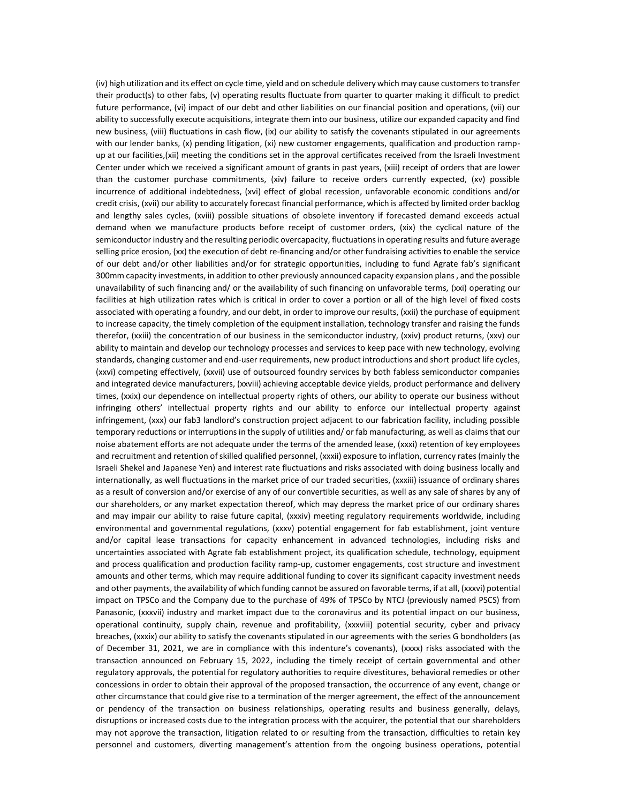(iv) high utilization and its effect on cycle time, yield and on schedule delivery which may cause customers to transfer their product(s) to other fabs, (v) operating results fluctuate from quarter to quarter making it difficult to predict future performance, (vi) impact of our debt and other liabilities on our financial position and operations, (vii) our ability to successfully execute acquisitions, integrate them into our business, utilize our expanded capacity and find new business, (viii) fluctuations in cash flow, (ix) our ability to satisfy the covenants stipulated in our agreements with our lender banks, (x) pending litigation, (xi) new customer engagements, qualification and production rampup at our facilities,(xii) meeting the conditions set in the approval certificates received from the Israeli Investment Center under which we received a significant amount of grants in past years, (xiii) receipt of orders that are lower than the customer purchase commitments, (xiv) failure to receive orders currently expected, (xv) possible incurrence of additional indebtedness, (xvi) effect of global recession, unfavorable economic conditions and/or credit crisis, (xvii) our ability to accurately forecast financial performance, which is affected by limited order backlog and lengthy sales cycles, (xviii) possible situations of obsolete inventory if forecasted demand exceeds actual demand when we manufacture products before receipt of customer orders, (xix) the cyclical nature of the semiconductor industry and the resulting periodic overcapacity, fluctuations in operating results and future average selling price erosion, (xx) the execution of debt re-financing and/or other fundraising activities to enable the service of our debt and/or other liabilities and/or for strategic opportunities, including to fund Agrate fab's significant 300mm capacity investments, in addition to other previously announced capacity expansion plans, and the possible unavailability of such financing and/ or the availability of such financing on unfavorable terms, (xxi) operating our facilities at high utilization rates which is critical in order to cover a portion or all of the high level of fixed costs associated with operating a foundry, and our debt, in order to improve our results, (xxii) the purchase of equipment to increase capacity, the timely completion of the equipment installation, technology transfer and raising the funds therefor, (xxiii) the concentration of our business in the semiconductor industry, (xxiv) product returns, (xxv) our ability to maintain and develop our technology processes and services to keep pace with new technology, evolving standards, changing customer and end-user requirements, new product introductions and short product life cycles, (xxvi) competing effectively, (xxvii) use of outsourced foundry services by both fabless semiconductor companies and integrated device manufacturers, (xxviii) achieving acceptable device yields, product performance and delivery times, (xxix) our dependence on intellectual property rights of others, our ability to operate our business without infringing others' intellectual property rights and our ability to enforce our intellectual property against infringement, (xxx) our fab3 landlord's construction project adjacent to our fabrication facility, including possible temporary reductions or interruptions in the supply of utilities and/ or fab manufacturing, as well as claims that our noise abatement efforts are not adequate under the terms of the amended lease, (xxxi) retention of key employees and recruitment and retention of skilled qualified personnel, (xxxii) exposure to inflation, currency rates (mainly the Israeli Shekel and Japanese Yen) and interest rate fluctuations and risks associated with doing business locally and internationally, as well fluctuations in the market price of our traded securities, (xxxiii) issuance of ordinary shares as a result of conversion and/or exercise of any of our convertible securities, as well as any sale of shares by any of our shareholders, or any market expectation thereof, which may depress the market price of our ordinary shares and may impair our ability to raise future capital, (xxxiv) meeting regulatory requirements worldwide, including environmental and governmental regulations, (xxxv) potential engagement for fab establishment, joint venture and/or capital lease transactions for capacity enhancement in advanced technologies, including risks and uncertainties associated with Agrate fab establishment project, its qualification schedule, technology, equipment and process qualification and production facility ramp-up, customer engagements, cost structure and investment amounts and other terms, which may require additional funding to cover its significant capacity investment needs and other payments, the availability of which funding cannot be assured on favorable terms, if at all, (xxxvi) potential impact on TPSCo and the Company due to the purchase of 49% of TPSCo by NTCJ (previously named PSCS) from Panasonic, (xxxvii) industry and market impact due to the coronavirus and its potential impact on our business, operational continuity, supply chain, revenue and profitability, (xxxviii) potential security, cyber and privacy breaches, (xxxix) our ability to satisfy the covenants stipulated in our agreements with the series G bondholders (as of December 31, 2021, we are in compliance with this indenture's covenants), (xxxx) risks associated with the transaction announced on February 15, 2022, including the timely receipt of certain governmental and other regulatory approvals, the potential for regulatory authorities to require divestitures, behavioral remedies or other concessions in order to obtain their approval of the proposed transaction, the occurrence of any event, change or other circumstance that could give rise to a termination of the merger agreement, the effect of the announcement or pendency of the transaction on business relationships, operating results and business generally, delays, disruptions or increased costs due to the integration process with the acquirer, the potential that our shareholders may not approve the transaction, litigation related to or resulting from the transaction, difficulties to retain key personnel and customers, diverting management's attention from the ongoing business operations, potential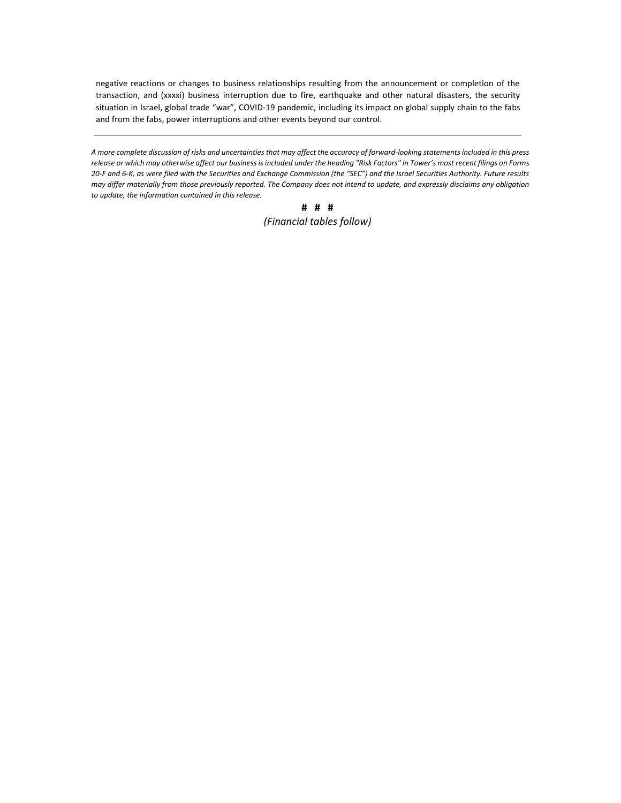negative reactions or changes to business relationships resulting from the announcement or completion of the transaction, and (xxxxi) business interruption due to fire, earthquake and other natural disasters, the security situation in Israel, global trade "war", COVID-19 pandemic, including its impact on global supply chain to the fabs and from the fabs, power interruptions and other events beyond our control.

*A more complete discussion of risks and uncertainties that may affect the accuracy of forward-looking statements included in this press*  release or which may otherwise affect our business is included under the heading "Risk Factors" in Tower's most recent filings on Forms *20-F and 6-K, as were filed with the Securities and Exchange Commission (the "SEC") and the Israel Securities Authority. Future results may differ materially from those previously reported. The Company does not intend to update, and expressly disclaims any obligation to update, the information contained in this release.*

> **# # #** *(Financial tables follow)*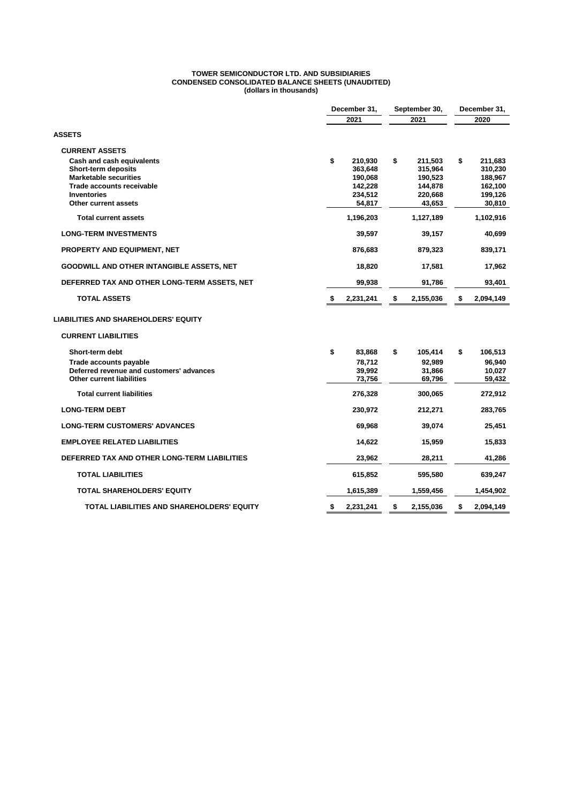#### **TOWER SEMICONDUCTOR LTD. AND SUBSIDIARIES CONDENSED CONSOLIDATED BALANCE SHEETS (UNAUDITED) (dollars in thousands)**

|                                                  | December 31,    | September 30,   | December 31,    |  |
|--------------------------------------------------|-----------------|-----------------|-----------------|--|
|                                                  | 2021            | 2021            | 2020            |  |
| <b>ASSETS</b>                                    |                 |                 |                 |  |
| <b>CURRENT ASSETS</b>                            |                 |                 |                 |  |
| Cash and cash equivalents                        | \$<br>210,930   | \$<br>211,503   | \$<br>211,683   |  |
| Short-term deposits                              | 363,648         | 315,964         | 310,230         |  |
| <b>Marketable securities</b>                     | 190,068         | 190,523         | 188,967         |  |
| <b>Trade accounts receivable</b>                 | 142,228         | 144,878         | 162,100         |  |
| <b>Inventories</b>                               | 234,512         | 220,668         | 199,126         |  |
| Other current assets                             | 54.817          | 43,653          | 30,810          |  |
| <b>Total current assets</b>                      | 1,196,203       | 1,127,189       | 1,102,916       |  |
| <b>LONG-TERM INVESTMENTS</b>                     | 39,597          | 39,157          | 40,699          |  |
| <b>PROPERTY AND EQUIPMENT, NET</b>               | 876,683         | 879,323         | 839,171         |  |
| <b>GOODWILL AND OTHER INTANGIBLE ASSETS, NET</b> | 18,820          | 17,581          | 17,962          |  |
| DEFERRED TAX AND OTHER LONG-TERM ASSETS, NET     | 99,938          | 91,786          | 93,401          |  |
| <b>TOTAL ASSETS</b>                              | 2,231,241<br>\$ | \$<br>2,155,036 | \$<br>2,094,149 |  |
| <b>LIABILITIES AND SHAREHOLDERS' EQUITY</b>      |                 |                 |                 |  |
| <b>CURRENT LIABILITIES</b>                       |                 |                 |                 |  |
| Short-term debt                                  | \$<br>83,868    | \$<br>105,414   | \$<br>106,513   |  |
| Trade accounts payable                           | 78,712          | 92,989          | 96.940          |  |
| Deferred revenue and customers' advances         | 39,992          | 31,866          | 10,027          |  |
| <b>Other current liabilities</b>                 | 73,756          | 69,796          | 59,432          |  |
| <b>Total current liabilities</b>                 | 276,328         | 300,065         | 272,912         |  |
| <b>LONG-TERM DEBT</b>                            | 230,972         | 212,271         | 283,765         |  |
| <b>LONG-TERM CUSTOMERS' ADVANCES</b>             | 69,968          | 39,074          | 25,451          |  |
| <b>EMPLOYEE RELATED LIABILITIES</b>              | 14,622          | 15,959          | 15,833          |  |
| DEFERRED TAX AND OTHER LONG-TERM LIABILITIES     | 23,962          | 28,211          | 41,286          |  |
| <b>TOTAL LIABILITIES</b>                         | 615,852         | 595,580         | 639,247         |  |
| <b>TOTAL SHAREHOLDERS' EQUITY</b>                | 1,615,389       | 1,559,456       | 1,454,902       |  |
| TOTAL LIABILITIES AND SHAREHOLDERS' EQUITY       | \$<br>2,231,241 | \$<br>2,155,036 | \$<br>2,094,149 |  |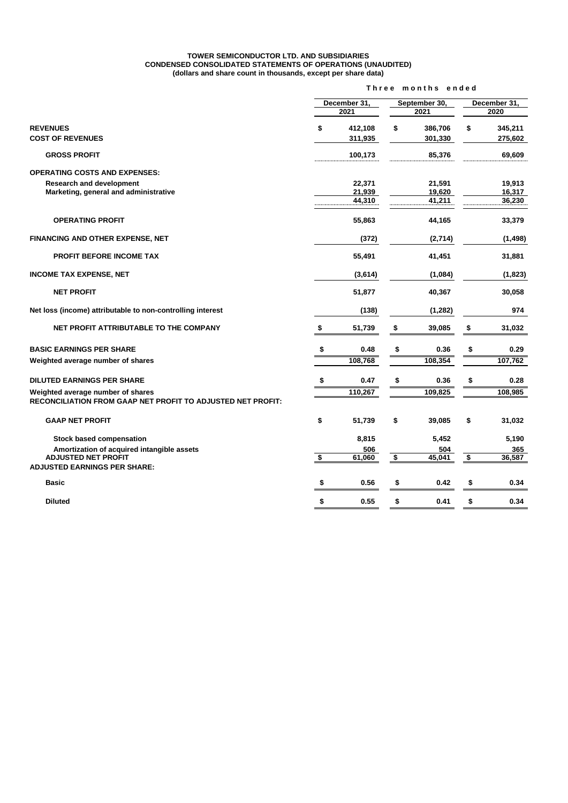#### **TOWER SEMICONDUCTOR LTD. AND SUBSIDIARIES CONDENSED CONSOLIDATED STATEMENTS OF OPERATIONS (UNAUDITED) (dollars and share count in thousands, except per share data)**

|                                                             | Three months ended   |                      |    |                       |    |                      |  |
|-------------------------------------------------------------|----------------------|----------------------|----|-----------------------|----|----------------------|--|
|                                                             |                      | December 31,<br>2021 |    | September 30,<br>2021 |    | December 31,<br>2020 |  |
| <b>REVENUES</b>                                             | \$                   | 412,108              | \$ | 386,706               | \$ | 345,211              |  |
| <b>COST OF REVENUES</b>                                     |                      | 311,935              |    | 301,330               |    | 275,602              |  |
| <b>GROSS PROFIT</b>                                         |                      | 100,173              |    | 85,376                |    | 69,609               |  |
| <b>OPERATING COSTS AND EXPENSES:</b>                        |                      |                      |    |                       |    |                      |  |
| <b>Research and development</b>                             |                      | 22,371               |    | 21,591                |    | 19,913               |  |
| Marketing, general and administrative                       |                      | 21,939               |    | 19,620                |    | 16,317               |  |
|                                                             |                      | 44,310               |    | 41,211                |    | 36,230               |  |
| <b>OPERATING PROFIT</b>                                     |                      | 55,863               |    | 44,165                |    | 33,379               |  |
| FINANCING AND OTHER EXPENSE, NET                            |                      | (372)                |    | (2,714)               |    | (1,498)              |  |
| PROFIT BEFORE INCOME TAX                                    |                      | 55,491               |    | 41,451                |    | 31,881               |  |
| <b>INCOME TAX EXPENSE, NET</b>                              |                      | (3,614)              |    | (1,084)               |    | (1,823)              |  |
| <b>NET PROFIT</b>                                           |                      | 51,877               |    | 40,367                |    | 30,058               |  |
| Net loss (income) attributable to non-controlling interest  |                      | (138)                |    | (1, 282)              |    | 974                  |  |
| NET PROFIT ATTRIBUTABLE TO THE COMPANY                      | \$                   | 51,739               | \$ | 39,085                | \$ | 31,032               |  |
| <b>BASIC EARNINGS PER SHARE</b>                             | \$                   | 0.48                 | \$ | 0.36                  | \$ | 0.29                 |  |
| Weighted average number of shares                           |                      | 108,768              |    | 108,354               |    | 107,762              |  |
| <b>DILUTED EARNINGS PER SHARE</b>                           | \$                   | 0.47                 | \$ | 0.36                  | \$ | 0.28                 |  |
| Weighted average number of shares                           |                      | 110,267              |    | 109,825               |    | 108,985              |  |
| RECONCILIATION FROM GAAP NET PROFIT TO ADJUSTED NET PROFIT: |                      |                      |    |                       |    |                      |  |
| <b>GAAP NET PROFIT</b>                                      | \$                   | 51,739               | \$ | 39,085                | \$ | 31,032               |  |
| <b>Stock based compensation</b>                             |                      | 8,815                |    | 5,452                 |    | 5,190                |  |
| Amortization of acquired intangible assets                  |                      | 506                  |    | 504                   |    | 365                  |  |
| <b>ADJUSTED NET PROFIT</b>                                  | $\overline{\bullet}$ | 61,060               | \$ | 45,041                | \$ | 36,587               |  |
| <b>ADJUSTED EARNINGS PER SHARE:</b>                         |                      |                      |    |                       |    |                      |  |
| <b>Basic</b>                                                | \$                   | 0.56                 | \$ | 0.42                  | \$ | 0.34                 |  |
| <b>Diluted</b>                                              | \$                   | 0.55                 | \$ | 0.41                  | \$ | 0.34                 |  |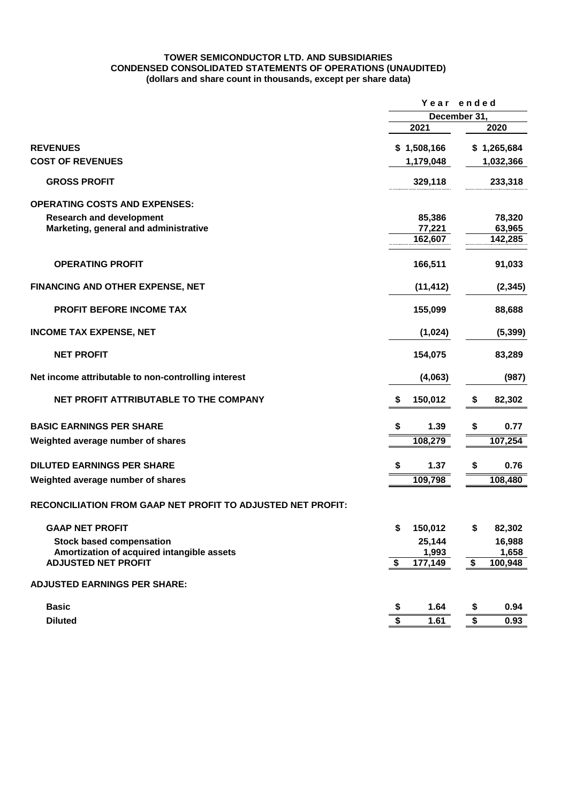## **TOWER SEMICONDUCTOR LTD. AND SUBSIDIARIES CONDENSED CONSOLIDATED STATEMENTS OF OPERATIONS (UNAUDITED) (dollars and share count in thousands, except per share data)**

|                                                             | Year ended<br>December 31, |             |                 |             |
|-------------------------------------------------------------|----------------------------|-------------|-----------------|-------------|
|                                                             |                            |             |                 |             |
|                                                             |                            | 2021        |                 | 2020        |
| <b>REVENUES</b>                                             |                            | \$1,508,166 |                 | \$1,265,684 |
| <b>COST OF REVENUES</b>                                     |                            | 1,179,048   |                 | 1,032,366   |
| <b>GROSS PROFIT</b>                                         |                            | 329,118     |                 | 233,318     |
| <b>OPERATING COSTS AND EXPENSES:</b>                        |                            |             |                 |             |
| <b>Research and development</b>                             |                            | 85,386      |                 | 78,320      |
| Marketing, general and administrative                       |                            | 77,221      |                 | 63,965      |
|                                                             |                            | 162,607     |                 | 142,285     |
| <b>OPERATING PROFIT</b>                                     |                            | 166,511     |                 | 91,033      |
| FINANCING AND OTHER EXPENSE, NET                            |                            | (11, 412)   |                 | (2, 345)    |
| PROFIT BEFORE INCOME TAX                                    |                            | 155,099     |                 | 88,688      |
| <b>INCOME TAX EXPENSE, NET</b>                              |                            | (1,024)     |                 | (5, 399)    |
| <b>NET PROFIT</b>                                           |                            | 154,075     |                 | 83,289      |
| Net income attributable to non-controlling interest         |                            | (4,063)     |                 | (987)       |
| NET PROFIT ATTRIBUTABLE TO THE COMPANY                      | \$                         | 150,012     | \$              | 82,302      |
| <b>BASIC EARNINGS PER SHARE</b>                             | \$                         | 1.39        | \$              | 0.77        |
| Weighted average number of shares                           |                            | 108,279     |                 | 107,254     |
| <b>DILUTED EARNINGS PER SHARE</b>                           | \$                         | 1.37        | \$              | 0.76        |
| Weighted average number of shares                           |                            | 109,798     |                 | 108,480     |
| RECONCILIATION FROM GAAP NET PROFIT TO ADJUSTED NET PROFIT: |                            |             |                 |             |
| <b>GAAP NET PROFIT</b>                                      | \$                         | 150,012     |                 | 82,302      |
| <b>Stock based compensation</b>                             |                            | 25,144      |                 | 16,988      |
| Amortization of acquired intangible assets                  |                            | 1,993       |                 | 1,658       |
| <b>ADJUSTED NET PROFIT</b>                                  | \$                         | 177,149     | \$              | 100,948     |
| <b>ADJUSTED EARNINGS PER SHARE:</b>                         |                            |             |                 |             |
| <b>Basic</b>                                                | \$                         | 1.64        | \$              | 0.94        |
| <b>Diluted</b>                                              | \$                         | 1.61        | $\overline{\$}$ | 0.93        |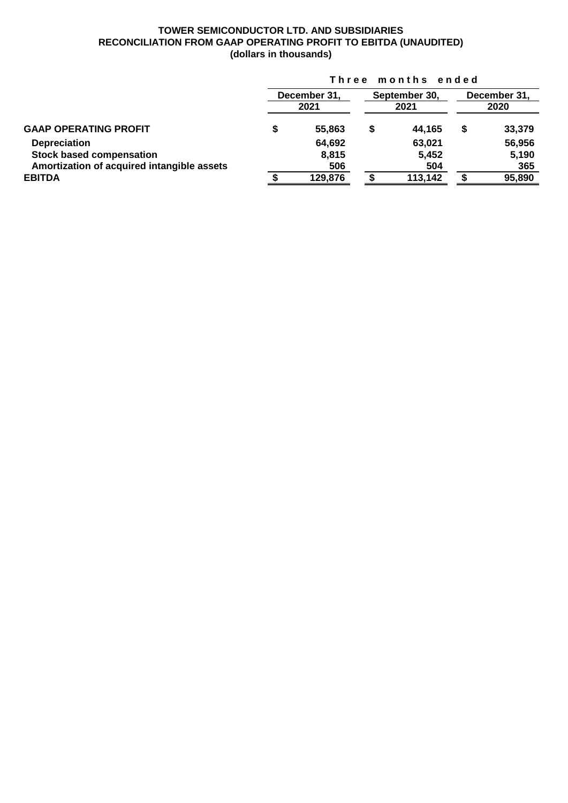# **TOWER SEMICONDUCTOR LTD. AND SUBSIDIARIES RECONCILIATION FROM GAAP OPERATING PROFIT TO EBITDA (UNAUDITED) (dollars in thousands)**

|                                            | Three months ended |                      |    |                       |                      |        |  |  |
|--------------------------------------------|--------------------|----------------------|----|-----------------------|----------------------|--------|--|--|
|                                            |                    | December 31.<br>2021 |    | September 30,<br>2021 | December 31,<br>2020 |        |  |  |
| <b>GAAP OPERATING PROFIT</b>               | S                  | 55,863               | \$ | 44,165                | \$                   | 33,379 |  |  |
| <b>Depreciation</b>                        |                    | 64,692               |    | 63,021                |                      | 56,956 |  |  |
| <b>Stock based compensation</b>            |                    | 8,815                |    | 5,452                 |                      | 5,190  |  |  |
| Amortization of acquired intangible assets |                    | 506                  |    | 504                   |                      | 365    |  |  |
| <b>EBITDA</b>                              |                    | 129,876              |    | 113,142               |                      | 95,890 |  |  |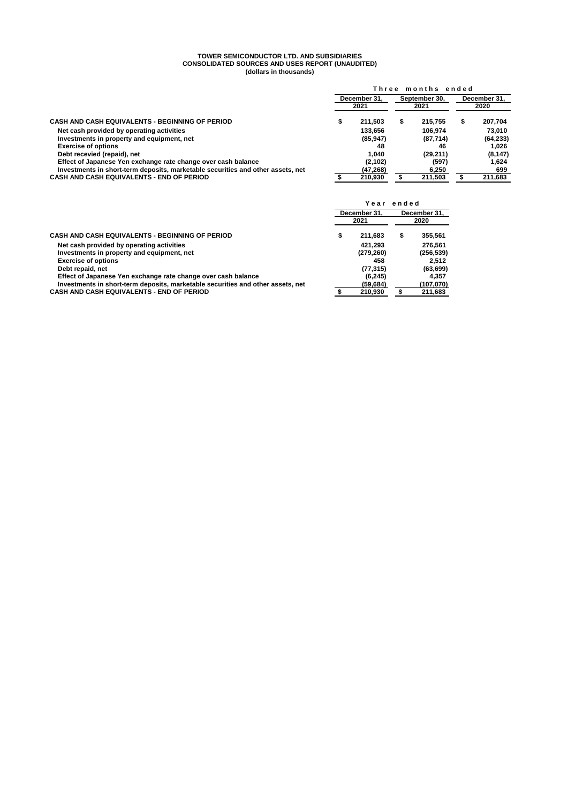#### **TOWER SEMICONDUCTOR LTD. AND SUBSIDIARIES CONSOLIDATED SOURCES AND USES REPORT (UNAUDITED) (dollars in thousands)**

|                                                                                 | Three months ended |           |               |           |              |           |  |
|---------------------------------------------------------------------------------|--------------------|-----------|---------------|-----------|--------------|-----------|--|
|                                                                                 | December 31.       |           | September 30. |           | December 31. |           |  |
|                                                                                 |                    | 2021      |               | 2021      |              | 2020      |  |
| <b>CASH AND CASH EQUIVALENTS - BEGINNING OF PERIOD</b>                          |                    | 211.503   |               | 215.755   |              | 207,704   |  |
| Net cash provided by operating activities                                       |                    | 133.656   |               | 106.974   |              | 73.010    |  |
| Investments in property and equipment, net                                      |                    | (85, 947) |               | (87, 714) |              | (64, 233) |  |
| <b>Exercise of options</b>                                                      |                    | 48        |               | 46        |              | 1.026     |  |
| Debt recevied (repaid), net                                                     |                    | 1.040     |               | (29, 211) |              | (8, 147)  |  |
| Effect of Japanese Yen exchange rate change over cash balance                   |                    | (2, 102)  |               | (597)     |              | 1.624     |  |
| Investments in short-term deposits, marketable securities and other assets, net |                    | (47, 268) |               | 6.250     |              | 699       |  |
| <b>CASH AND CASH EQUIVALENTS - END OF PERIOD</b>                                |                    | 210,930   |               | 211,503   |              | 211,683   |  |

|                                                                                 | ended<br>Year |              |              |            |
|---------------------------------------------------------------------------------|---------------|--------------|--------------|------------|
|                                                                                 |               | December 31. | December 31. |            |
|                                                                                 |               | 2021         | 2020         |            |
| CASH AND CASH EQUIVALENTS - BEGINNING OF PERIOD                                 | \$            | 211.683      | \$           | 355,561    |
| Net cash provided by operating activities                                       |               | 421.293      |              | 276.561    |
| Investments in property and equipment, net                                      |               | (279, 260)   |              | (256, 539) |
| <b>Exercise of options</b>                                                      |               | 458          |              | 2.512      |
| Debt repaid, net                                                                |               | (77, 315)    |              | (63, 699)  |
| Effect of Japanese Yen exchange rate change over cash balance                   |               | (6, 245)     |              | 4.357      |
| Investments in short-term deposits, marketable securities and other assets, net |               | (59,684)     |              | (107,070)  |
| CASH AND CASH EQUIVALENTS - END OF PERIOD                                       |               | 210,930      |              | 211,683    |